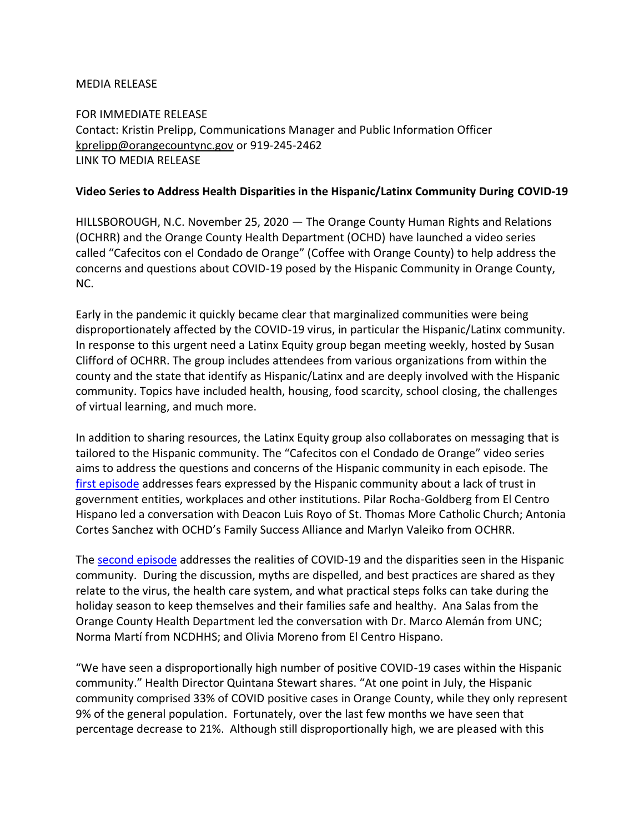## MEDIA RELEASE

FOR IMMEDIATE RELEASE Contact: Kristin Prelipp, Communications Manager and Public Information Officer [kprelipp@orangecountync.gov](mailto:kprelipp@orangecountync.gov) or 919-245-2462 LINK TO MEDIA RELEASE

## **Video Series to Address Health Disparities in the Hispanic/Latinx Community During COVID-19**

HILLSBOROUGH, N.C. November 25, 2020 ― The Orange County Human Rights and Relations (OCHRR) and the Orange County Health Department (OCHD) have launched a video series called "Cafecitos con el Condado de Orange" (Coffee with Orange County) to help address the concerns and questions about COVID-19 posed by the Hispanic Community in Orange County, NC.

Early in the pandemic it quickly became clear that marginalized communities were being disproportionately affected by the COVID-19 virus, in particular the Hispanic/Latinx community. In response to this urgent need a Latinx Equity group began meeting weekly, hosted by Susan Clifford of OCHRR. The group includes attendees from various organizations from within the county and the state that identify as Hispanic/Latinx and are deeply involved with the Hispanic community. Topics have included health, housing, food scarcity, school closing, the challenges of virtual learning, and much more.

In addition to sharing resources, the Latinx Equity group also collaborates on messaging that is tailored to the Hispanic community. The "Cafecitos con el Condado de Orange" video series aims to address the questions and concerns of the Hispanic community in each episode. The [first episode](https://youtu.be/VY17vFmvGR4) addresses fears expressed by the Hispanic community about a lack of trust in government entities, workplaces and other institutions. Pilar Rocha-Goldberg from El Centro Hispano led a conversation with Deacon Luis Royo of St. Thomas More Catholic Church; Antonia Cortes Sanchez with OCHD's Family Success Alliance and Marlyn Valeiko from OCHRR.

The [second episode](https://youtu.be/5doiYQwYEnE) addresses the realities of COVID-19 and the disparities seen in the Hispanic community. During the discussion, myths are dispelled, and best practices are shared as they relate to the virus, the health care system, and what practical steps folks can take during the holiday season to keep themselves and their families safe and healthy. Ana Salas from the Orange County Health Department led the conversation with Dr. Marco Alemán from UNC; Norma Martí from NCDHHS; and Olivia Moreno from El Centro Hispano.

"We have seen a disproportionally high number of positive COVID-19 cases within the Hispanic community." Health Director Quintana Stewart shares. "At one point in July, the Hispanic community comprised 33% of COVID positive cases in Orange County, while they only represent 9% of the general population. Fortunately, over the last few months we have seen that percentage decrease to 21%. Although still disproportionally high, we are pleased with this